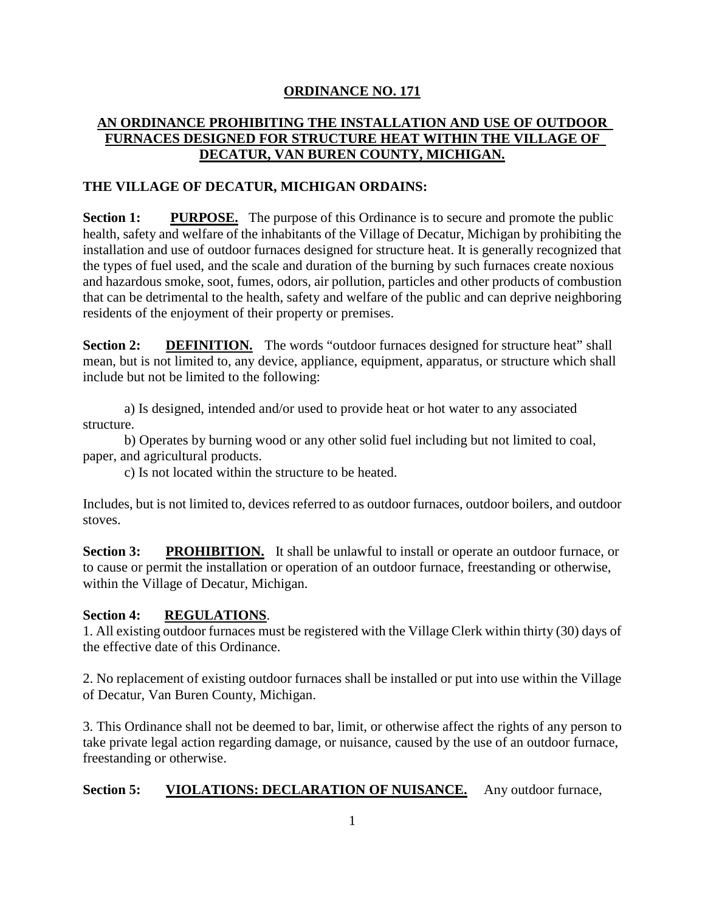# **ORDINANCE NO. 171**

# **AN ORDINANCE PROHIBITING THE INSTALLATION AND USE OF OUTDOOR FURNACES DESIGNED FOR STRUCTURE HEAT WITHIN THE VILLAGE OF DECATUR, VAN BUREN COUNTY, MICHIGAN.**

### **THE VILLAGE OF DECATUR, MICHIGAN ORDAINS:**

**Section 1:** PURPOSE. The purpose of this Ordinance is to secure and promote the public health, safety and welfare of the inhabitants of the Village of Decatur, Michigan by prohibiting the installation and use of outdoor furnaces designed for structure heat. It is generally recognized that the types of fuel used, and the scale and duration of the burning by such furnaces create noxious and hazardous smoke, soot, fumes, odors, air pollution, particles and other products of combustion that can be detrimental to the health, safety and welfare of the public and can deprive neighboring residents of the enjoyment of their property or premises.

**Section 2: DEFINITION.** The words "outdoor furnaces designed for structure heat" shall mean, but is not limited to, any device, appliance, equipment, apparatus, or structure which shall include but not be limited to the following:

a) Is designed, intended and/or used to provide heat or hot water to any associated structure.

b) Operates by burning wood or any other solid fuel including but not limited to coal, paper, and agricultural products.

c) Is not located within the structure to be heated.

Includes, but is not limited to, devices referred to as outdoor furnaces, outdoor boilers, and outdoor stoves.

**Section 3: PROHIBITION.** It shall be unlawful to install or operate an outdoor furnace, or to cause or permit the installation or operation of an outdoor furnace, freestanding or otherwise, within the Village of Decatur, Michigan.

#### **Section 4: REGULATIONS**.

1. All existing outdoor furnaces must be registered with the Village Clerk within thirty (30) days of the effective date of this Ordinance.

2. No replacement of existing outdoor furnaces shall be installed or put into use within the Village of Decatur, Van Buren County, Michigan.

3. This Ordinance shall not be deemed to bar, limit, or otherwise affect the rights of any person to take private legal action regarding damage, or nuisance, caused by the use of an outdoor furnace, freestanding or otherwise.

### **Section 5:** VIOLATIONS: DECLARATION OF NUISANCE. Any outdoor furnace,